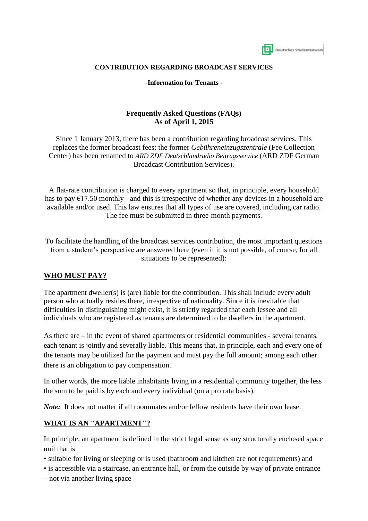| Deutsches Studentenwerk |  |
|-------------------------|--|

#### **CONTRIBUTION REGARDING BROADCAST SERVICES**

**-Information for Tenants -**

#### **Frequently Asked Questions (FAQs) As of April 1, 2015**

Since 1 January 2013, there has been a contribution regarding broadcast services. This replaces the former broadcast fees; the former *Gebühreneinzugszentrale* (Fee Collection Center) has been renamed to *ARD ZDF Deutschlandradio Beitragsservice* (ARD ZDF German Broadcast Contribution Services).

A flat-rate contribution is charged to every apartment so that, in principle, every household has to pay  $\epsilon$ 17.50 monthly - and this is irrespective of whether any devices in a household are available and/or used. This law ensures that all types of use are covered, including car radio. The fee must be submitted in three-month payments.

To facilitate the handling of the broadcast services contribution, the most important questions from a student's perspective are answered here (even if it is not possible, of course, for all situations to be represented):

#### **WHO MUST PAY?**

The apartment dweller(s) is (are) liable for the contribution. This shall include every adult person who actually resides there, irrespective of nationality. Since it is inevitable that difficulties in distinguishing might exist, it is strictly regarded that each lessee and all individuals who are registered as tenants are determined to be dwellers in the apartment.

As there are – in the event of shared apartments or residential communities - several tenants, each tenant is jointly and severally liable. This means that, in principle, each and every one of the tenants may be utilized for the payment and must pay the full amount; among each other there is an obligation to pay compensation.

In other words, the more liable inhabitants living in a residential community together, the less the sum to be paid is by each and every individual (on a pro rata basis).

*Note:* It does not matter if all roommates and/or fellow residents have their own lease.

#### **WHAT IS AN "APARTMENT"?**

In principle, an apartment is defined in the strict legal sense as any structurally enclosed space unit that is

- suitable for living or sleeping or is used (bathroom and kitchen are not requirements) and
- is accessible via a staircase, an entrance hall, or from the outside by way of private entrance
- not via another living space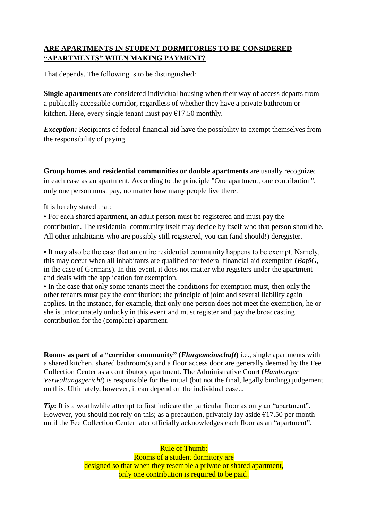# **ARE APARTMENTS IN STUDENT DORMITORIES TO BE CONSIDERED "APARTMENTS" WHEN MAKING PAYMENT?**

That depends. The following is to be distinguished:

**Single apartments** are considered individual housing when their way of access departs from a publically accessible corridor, regardless of whether they have a private bathroom or kitchen. Here, every single tenant must pay  $\epsilon$ 17.50 monthly.

*Exception:* Recipients of federal financial aid have the possibility to exempt themselves from the responsibility of paying.

**Group homes and residential communities or double apartments** are usually recognized in each case as an apartment. According to the principle "One apartment, one contribution", only one person must pay, no matter how many people live there.

It is hereby stated that:

• For each shared apartment, an adult person must be registered and must pay the contribution. The residential community itself may decide by itself who that person should be. All other inhabitants who are possibly still registered, you can (and should!) deregister.

• It may also be the case that an entire residential community happens to be exempt. Namely, this may occur when all inhabitants are qualified for federal financial aid exemption (*BaföG,*  in the case of Germans). In this event, it does not matter who registers under the apartment and deals with the application for exemption.

• In the case that only some tenants meet the conditions for exemption must, then only the other tenants must pay the contribution; the principle of joint and several liability again applies. In the instance, for example, that only one person does not meet the exemption, he or she is unfortunately unlucky in this event and must register and pay the broadcasting contribution for the (complete) apartment.

**Rooms as part of a "corridor community" (***Flurgemeinschaft***)** i.e., single apartments with a shared kitchen, shared bathroom(s) and a floor access door are generally deemed by the Fee Collection Center as a contributory apartment. The Administrative Court (*Hamburger Verwaltungsgericht*) is responsible for the initial (but not the final, legally binding) judgement on this. Ultimately, however, it can depend on the individual case...

*Tip*: It is a worthwhile attempt to first indicate the particular floor as only an "apartment". However, you should not rely on this; as a precaution, privately lay aside  $\epsilon$ 17.50 per month until the Fee Collection Center later officially acknowledges each floor as an "apartment".

> Rule of Thumb: Rooms of a student dormitory are designed so that when they resemble a private or shared apartment, only one contribution is required to be paid!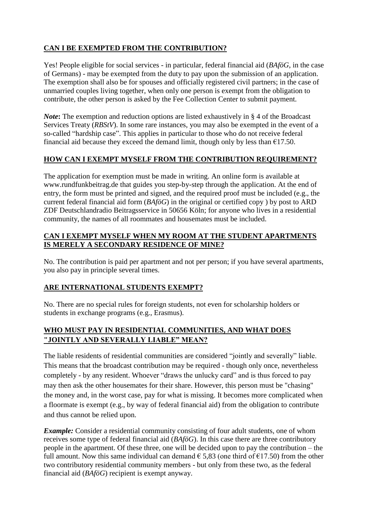# **CAN I BE EXEMPTED FROM THE CONTRIBUTION?**

Yes! People eligible for social services - in particular, federal financial aid (*BAföG*, in the case of Germans) - may be exempted from the duty to pay upon the submission of an application. The exemption shall also be for spouses and officially registered civil partners; in the case of unmarried couples living together, when only one person is exempt from the obligation to contribute, the other person is asked by the Fee Collection Center to submit payment.

*Note*: The exemption and reduction options are listed exhaustively in § 4 of the Broadcast Services Treaty (*RBStV*). In some rare instances, you may also be exempted in the event of a so-called "hardship case". This applies in particular to those who do not receive federal financial aid because they exceed the demand limit, though only by less than  $\epsilon$ 17.50.

### **HOW CAN I EXEMPT MYSELF FROM THE CONTRIBUTION REQUIREMENT?**

The application for exemption must be made in writing. An online form is available at www.rundfunkbeitrag.de that guides you step-by-step through the application. At the end of entry, the form must be printed and signed, and the required proof must be included (e.g., the current federal financial aid form (*BAföG*) in the original or certified copy ) by post to ARD ZDF Deutschlandradio Beitragsservice in 50656 Köln; for anyone who lives in a residential community, the names of all roommates and housemates must be included.

#### **CAN I EXEMPT MYSELF WHEN MY ROOM AT THE STUDENT APARTMENTS IS MERELY A SECONDARY RESIDENCE OF MINE?**

No. The contribution is paid per apartment and not per person; if you have several apartments, you also pay in principle several times.

#### **ARE INTERNATIONAL STUDENTS EXEMPT?**

No. There are no special rules for foreign students, not even for scholarship holders or students in exchange programs (e.g., Erasmus).

### **WHO MUST PAY IN RESIDENTIAL COMMUNITIES, AND WHAT DOES "JOINTLY AND SEVERALLY LIABLE" MEAN?**

The liable residents of residential communities are considered "jointly and severally" liable. This means that the broadcast contribution may be required - though only once, nevertheless completely - by any resident. Whoever "draws the unlucky card" and is thus forced to pay may then ask the other housemates for their share. However, this person must be "chasing" the money and, in the worst case, pay for what is missing. It becomes more complicated when a floormate is exempt (e.g., by way of federal financial aid) from the obligation to contribute and thus cannot be relied upon.

*Example:* Consider a residential community consisting of four adult students, one of whom receives some type of federal financial aid (*BAföG*). In this case there are three contributory people in the apartment. Of these three, one will be decided upon to pay the contribution – the full amount. Now this same individual can demand  $\epsilon$  5,83 (one third of  $\epsilon$ 17.50) from the other two contributory residential community members - but only from these two, as the federal financial aid (*BAföG*) recipient is exempt anyway.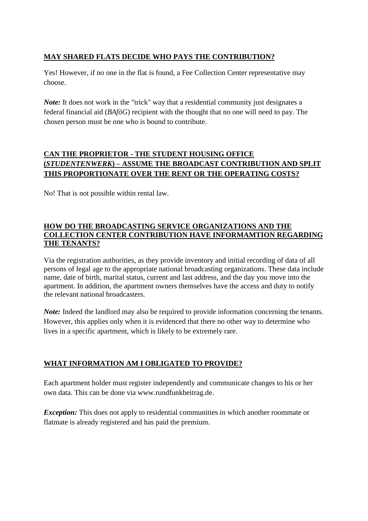### **MAY SHARED FLATS DECIDE WHO PAYS THE CONTRIBUTION?**

Yes! However, if no one in the flat is found, a Fee Collection Center representative may choose.

*Note:* It does not work in the "trick" way that a residential community just designates a federal financial aid (*BAföG*) recipient with the thought that no one will need to pay. The chosen person must be one who is bound to contribute.

# **CAN THE PROPRIETOR - THE STUDENT HOUSING OFFICE (***STUDENTENWERK***) – ASSUME THE BROADCAST CONTRIBUTION AND SPLIT THIS PROPORTIONATE OVER THE RENT OR THE OPERATING COSTS?**

No! That is not possible within rental law.

#### **HOW DO THE BROADCASTING SERVICE ORGANIZATIONS AND THE COLLECTION CENTER CONTRIBUTION HAVE INFORMAMTION REGARDING THE TENANTS?**

Via the registration authorities, as they provide inventory and initial recording of data of all persons of legal age to the appropriate national broadcasting organizations. These data include name, date of birth, marital status, current and last address, and the day you move into the apartment. In addition, the apartment owners themselves have the access and duty to notify the relevant national broadcasters.

*Note:* Indeed the landlord may also be required to provide information concerning the tenants. However, this applies only when it is evidenced that there no other way to determine who lives in a specific apartment, which is likely to be extremely rare.

#### **WHAT INFORMATION AM I OBLIGATED TO PROVIDE?**

Each apartment holder must register independently and communicate changes to his or her own data. This can be done via www.rundfunkbeitrag.de.

*Exception:* This does not apply to residential communities in which another roommate or flatmate is already registered and has paid the premium.